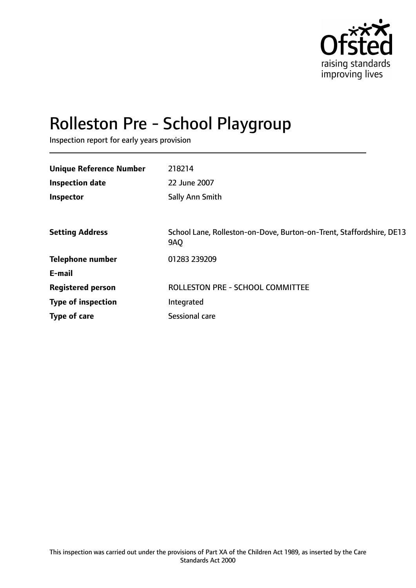

# Rolleston Pre - School Playgroup

Inspection report for early years provision

| 218214                                                                             |
|------------------------------------------------------------------------------------|
| 22 June 2007                                                                       |
| Sally Ann Smith                                                                    |
|                                                                                    |
| School Lane, Rolleston-on-Dove, Burton-on-Trent, Staffordshire, DE13<br><b>9AO</b> |
| 01283 239209                                                                       |
|                                                                                    |
| <b>ROLLESTON PRE - SCHOOL COMMITTEE</b>                                            |
| Integrated                                                                         |
| <b>Sessional care</b>                                                              |
|                                                                                    |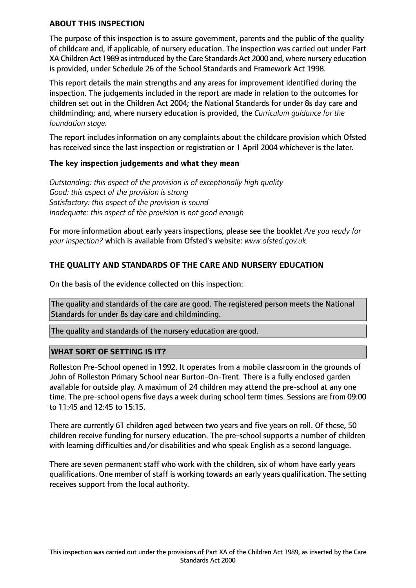## **ABOUT THIS INSPECTION**

The purpose of this inspection is to assure government, parents and the public of the quality of childcare and, if applicable, of nursery education. The inspection was carried out under Part XA Children Act 1989 as introduced by the Care Standards Act 2000 and, where nursery education is provided, under Schedule 26 of the School Standards and Framework Act 1998.

This report details the main strengths and any areas for improvement identified during the inspection. The judgements included in the report are made in relation to the outcomes for children set out in the Children Act 2004; the National Standards for under 8s day care and childminding; and, where nursery education is provided, the *Curriculum guidance for the foundation stage.*

The report includes information on any complaints about the childcare provision which Ofsted has received since the last inspection or registration or 1 April 2004 whichever is the later.

## **The key inspection judgements and what they mean**

*Outstanding: this aspect of the provision is of exceptionally high quality Good: this aspect of the provision is strong Satisfactory: this aspect of the provision is sound Inadequate: this aspect of the provision is not good enough*

For more information about early years inspections, please see the booklet *Are you ready for your inspection?* which is available from Ofsted's website: *www.ofsted.gov.uk.*

# **THE QUALITY AND STANDARDS OF THE CARE AND NURSERY EDUCATION**

On the basis of the evidence collected on this inspection:

The quality and standards of the care are good. The registered person meets the National Standards for under 8s day care and childminding.

The quality and standards of the nursery education are good.

## **WHAT SORT OF SETTING IS IT?**

Rolleston Pre-School opened in 1992. It operates from a mobile classroom in the grounds of John of Rolleston Primary School near Burton-On-Trent. There is a fully enclosed garden available for outside play. A maximum of 24 children may attend the pre-school at any one time. The pre-school opens five days a week during school term times. Sessions are from 09:00 to 11:45 and 12:45 to 15:15.

There are currently 61 children aged between two years and five years on roll. Of these, 50 children receive funding for nursery education. The pre-school supports a number of children with learning difficulties and/or disabilities and who speak English as a second language.

There are seven permanent staff who work with the children, six of whom have early years qualifications. One member of staff is working towards an early years qualification. The setting receives support from the local authority.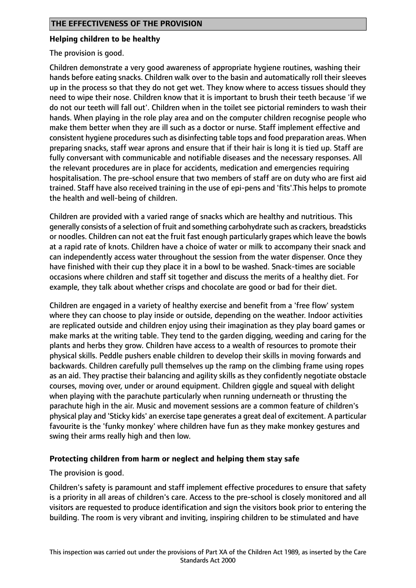## **Helping children to be healthy**

The provision is good.

Children demonstrate a very good awareness of appropriate hygiene routines, washing their hands before eating snacks. Children walk over to the basin and automatically roll their sleeves up in the process so that they do not get wet. They know where to access tissues should they need to wipe their nose. Children know that it is important to brush their teeth because 'if we do not our teeth will fall out'. Children when in the toilet see pictorial reminders to wash their hands. When playing in the role play area and on the computer children recognise people who make them better when they are ill such as a doctor or nurse. Staff implement effective and consistent hygiene procedures such as disinfecting table tops and food preparation areas. When preparing snacks, staff wear aprons and ensure that if their hair is long it is tied up. Staff are fully conversant with communicable and notifiable diseases and the necessary responses. All the relevant procedures are in place for accidents, medication and emergencies requiring hospitalisation. The pre-school ensure that two members of staff are on duty who are first aid trained. Staff have also received training in the use of epi-pens and 'fits'.This helps to promote the health and well-being of children.

Children are provided with a varied range of snacks which are healthy and nutritious. This generally consists of a selection of fruit and something carbohydrate such as crackers, breadsticks or noodles. Children can not eat the fruit fast enough particularly grapes which leave the bowls at a rapid rate of knots. Children have a choice of water or milk to accompany their snack and can independently access water throughout the session from the water dispenser. Once they have finished with their cup they place it in a bowl to be washed. Snack-times are sociable occasions where children and staff sit together and discuss the merits of a healthy diet. For example, they talk about whether crisps and chocolate are good or bad for their diet.

Children are engaged in a variety of healthy exercise and benefit from a 'free flow' system where they can choose to play inside or outside, depending on the weather. Indoor activities are replicated outside and children enjoy using their imagination as they play board games or make marks at the writing table. They tend to the garden digging, weeding and caring for the plants and herbs they grow. Children have access to a wealth of resources to promote their physical skills. Peddle pushers enable children to develop their skills in moving forwards and backwards. Children carefully pull themselves up the ramp on the climbing frame using ropes as an aid. They practise their balancing and agility skills as they confidently negotiate obstacle courses, moving over, under or around equipment. Children giggle and squeal with delight when playing with the parachute particularly when running underneath or thrusting the parachute high in the air. Music and movement sessions are a common feature of children's physical play and 'Sticky kids' an exercise tape generates a great deal of excitement. A particular favourite is the 'funky monkey' where children have fun as they make monkey gestures and swing their arms really high and then low.

## **Protecting children from harm or neglect and helping them stay safe**

The provision is good.

Children's safety is paramount and staff implement effective procedures to ensure that safety is a priority in all areas of children's care. Access to the pre-school is closely monitored and all visitors are requested to produce identification and sign the visitors book prior to entering the building. The room is very vibrant and inviting, inspiring children to be stimulated and have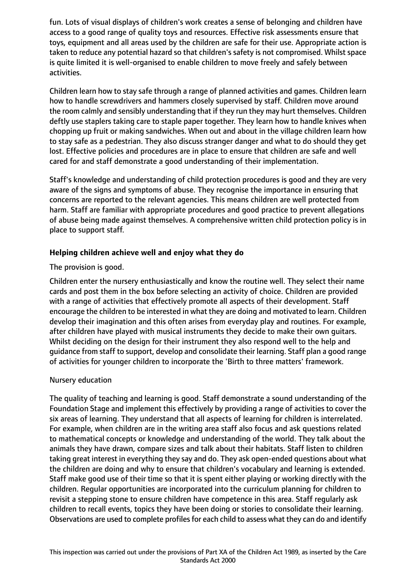fun. Lots of visual displays of children's work creates a sense of belonging and children have access to a good range of quality toys and resources. Effective risk assessments ensure that toys, equipment and all areas used by the children are safe for their use. Appropriate action is taken to reduce any potential hazard so that children's safety is not compromised. Whilst space is quite limited it is well-organised to enable children to move freely and safely between activities.

Children learn how to stay safe through a range of planned activities and games. Children learn how to handle screwdrivers and hammers closely supervised by staff. Children move around the room calmly and sensibly understanding that if they run they may hurt themselves. Children deftly use staplers taking care to staple paper together. They learn how to handle knives when chopping up fruit or making sandwiches. When out and about in the village children learn how to stay safe as a pedestrian. They also discuss stranger danger and what to do should they get lost. Effective policies and procedures are in place to ensure that children are safe and well cared for and staff demonstrate a good understanding of their implementation.

Staff's knowledge and understanding of child protection procedures is good and they are very aware of the signs and symptoms of abuse. They recognise the importance in ensuring that concerns are reported to the relevant agencies. This means children are well protected from harm. Staff are familiar with appropriate procedures and good practice to prevent allegations of abuse being made against themselves. A comprehensive written child protection policy is in place to support staff.

# **Helping children achieve well and enjoy what they do**

The provision is good.

Children enter the nursery enthusiastically and know the routine well. They select their name cards and post them in the box before selecting an activity of choice. Children are provided with a range of activities that effectively promote all aspects of their development. Staff encourage the children to be interested in what they are doing and motivated to learn. Children develop their imagination and this often arises from everyday play and routines. For example, after children have played with musical instruments they decide to make their own guitars. Whilst deciding on the design for their instrument they also respond well to the help and guidance from staff to support, develop and consolidate their learning. Staff plan a good range of activities for younger children to incorporate the 'Birth to three matters' framework.

## Nursery education

The quality of teaching and learning is good. Staff demonstrate a sound understanding of the Foundation Stage and implement this effectively by providing a range of activities to cover the six areas of learning. They understand that all aspects of learning for children is interrelated. For example, when children are in the writing area staff also focus and ask questions related to mathematical concepts or knowledge and understanding of the world. They talk about the animals they have drawn, compare sizes and talk about their habitats. Staff listen to children taking great interest in everything they say and do. They ask open-ended questions about what the children are doing and why to ensure that children's vocabulary and learning is extended. Staff make good use of their time so that it is spent either playing or working directly with the children. Regular opportunities are incorporated into the curriculum planning for children to revisit a stepping stone to ensure children have competence in this area. Staff regularly ask children to recall events, topics they have been doing or stories to consolidate their learning. Observations are used to complete profiles for each child to assess what they can do and identify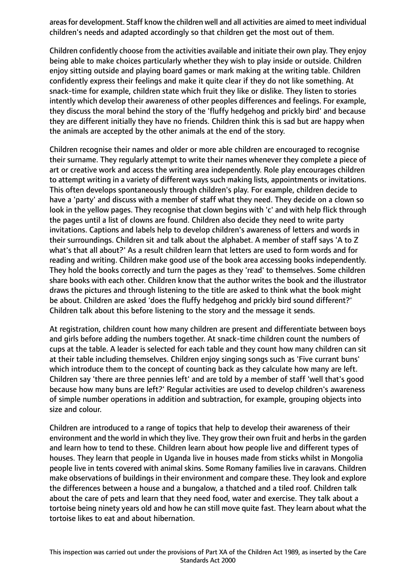areas for development. Staff know the children well and all activities are aimed to meet individual children's needs and adapted accordingly so that children get the most out of them.

Children confidently choose from the activities available and initiate their own play. They enjoy being able to make choices particularly whether they wish to play inside or outside. Children enjoy sitting outside and playing board games or mark making at the writing table. Children confidently express their feelings and make it quite clear if they do not like something. At snack-time for example, children state which fruit they like or dislike. They listen to stories intently which develop their awareness of other peoples differences and feelings. For example, they discuss the moral behind the story of the 'fluffy hedgehog and prickly bird' and because they are different initially they have no friends. Children think this is sad but are happy when the animals are accepted by the other animals at the end of the story.

Children recognise their names and older or more able children are encouraged to recognise their surname. They regularly attempt to write their names whenever they complete a piece of art or creative work and access the writing area independently. Role play encourages children to attempt writing in a variety of different ways such making lists, appointments or invitations. This often develops spontaneously through children's play. For example, children decide to have a 'party' and discuss with a member of staff what they need. They decide on a clown so look in the yellow pages. They recognise that clown begins with 'c' and with help flick through the pages until a list of clowns are found. Children also decide they need to write party invitations. Captions and labels help to develop children's awareness of letters and words in their surroundings. Children sit and talk about the alphabet. A member of staff says 'A to Z what's that all about?' As a result children learn that letters are used to form words and for reading and writing. Children make good use of the book area accessing books independently. They hold the books correctly and turn the pages as they 'read' to themselves. Some children share books with each other. Children know that the author writes the book and the illustrator draws the pictures and through listening to the title are asked to think what the book might be about. Children are asked 'does the fluffy hedgehog and prickly bird sound different?' Children talk about this before listening to the story and the message it sends.

At registration, children count how many children are present and differentiate between boys and girls before adding the numbers together. At snack-time children count the numbers of cups at the table. A leader is selected for each table and they count how many children can sit at their table including themselves. Children enjoy singing songs such as 'Five currant buns' which introduce them to the concept of counting back as they calculate how many are left. Children say 'there are three pennies left' and are told by a member of staff 'well that's good because how many buns are left?' Regular activities are used to develop children's awareness of simple number operations in addition and subtraction, for example, grouping objects into size and colour.

Children are introduced to a range of topics that help to develop their awareness of their environment and the world in which they live. They grow their own fruit and herbs in the garden and learn how to tend to these. Children learn about how people live and different types of houses. They learn that people in Uganda live in houses made from sticks whilst in Mongolia people live in tents covered with animal skins. Some Romany families live in caravans. Children make observations of buildings in their environment and compare these. They look and explore the differences between a house and a bungalow, a thatched and a tiled roof. Children talk about the care of pets and learn that they need food, water and exercise. They talk about a tortoise being ninety years old and how he can still move quite fast. They learn about what the tortoise likes to eat and about hibernation.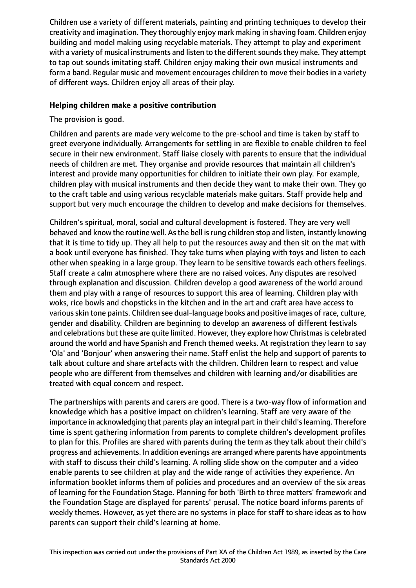Children use a variety of different materials, painting and printing techniques to develop their creativity and imagination. They thoroughly enjoy mark making in shaving foam. Children enjoy building and model making using recyclable materials. They attempt to play and experiment with a variety of musical instruments and listen to the different sounds they make. They attempt to tap out sounds imitating staff. Children enjoy making their own musical instruments and form a band. Regular music and movement encourages children to move their bodies in a variety of different ways. Children enjoy all areas of their play.

#### **Helping children make a positive contribution**

The provision is good.

Children and parents are made very welcome to the pre-school and time is taken by staff to greet everyone individually. Arrangements for settling in are flexible to enable children to feel secure in their new environment. Staff liaise closely with parents to ensure that the individual needs of children are met. They organise and provide resources that maintain all children's interest and provide many opportunities for children to initiate their own play. For example, children play with musical instruments and then decide they want to make their own. They go to the craft table and using various recyclable materials make guitars. Staff provide help and support but very much encourage the children to develop and make decisions for themselves.

Children's spiritual, moral, social and cultural development is fostered. They are very well behaved and know the routine well. As the bell is rung children stop and listen, instantly knowing that it is time to tidy up. They all help to put the resources away and then sit on the mat with a book until everyone has finished. They take turns when playing with toys and listen to each other when speaking in a large group. They learn to be sensitive towards each others feelings. Staff create a calm atmosphere where there are no raised voices. Any disputes are resolved through explanation and discussion. Children develop a good awareness of the world around them and play with a range of resources to support this area of learning. Children play with woks, rice bowls and chopsticks in the kitchen and in the art and craft area have access to various skin tone paints. Children see dual-language books and positive images of race, culture, gender and disability. Children are beginning to develop an awareness of different festivals and celebrations but these are quite limited. However, they explore how Christmas is celebrated around the world and have Spanish and French themed weeks. At registration they learn to say 'Ola' and 'Bonjour' when answering their name. Staff enlist the help and support of parents to talk about culture and share artefacts with the children. Children learn to respect and value people who are different from themselves and children with learning and/or disabilities are treated with equal concern and respect.

The partnerships with parents and carers are good. There is a two-way flow of information and knowledge which has a positive impact on children's learning. Staff are very aware of the importance in acknowledging that parents play an integral part in their child's learning. Therefore time is spent gathering information from parents to complete children's development profiles to plan for this. Profiles are shared with parents during the term as they talk about their child's progress and achievements. In addition evenings are arranged where parents have appointments with staff to discuss their child's learning. A rolling slide show on the computer and a video enable parents to see children at play and the wide range of activities they experience. An information booklet informs them of policies and procedures and an overview of the six areas of learning for the Foundation Stage. Planning for both 'Birth to three matters' framework and the Foundation Stage are displayed for parents' perusal. The notice board informs parents of weekly themes. However, as yet there are no systems in place for staff to share ideas as to how parents can support their child's learning at home.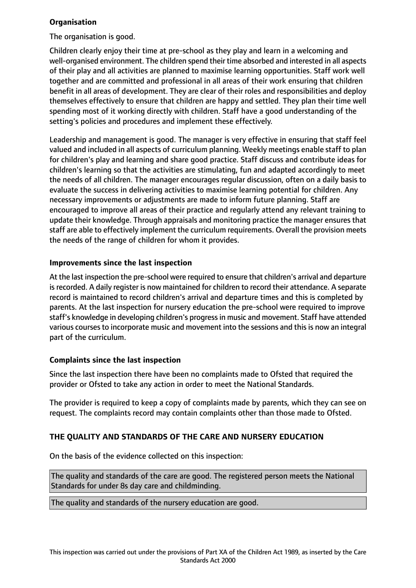## **Organisation**

The organisation is good.

Children clearly enjoy their time at pre-school as they play and learn in a welcoming and well-organised environment. The children spend their time absorbed and interested in all aspects of their play and all activities are planned to maximise learning opportunities. Staff work well together and are committed and professional in all areas of their work ensuring that children benefit in all areas of development. They are clear of their roles and responsibilities and deploy themselves effectively to ensure that children are happy and settled. They plan their time well spending most of it working directly with children. Staff have a good understanding of the setting's policies and procedures and implement these effectively.

Leadership and management is good. The manager is very effective in ensuring that staff feel valued and included in all aspects of curriculum planning. Weekly meetings enable staff to plan for children's play and learning and share good practice. Staff discuss and contribute ideas for children's learning so that the activities are stimulating, fun and adapted accordingly to meet the needs of all children. The manager encourages regular discussion, often on a daily basis to evaluate the success in delivering activities to maximise learning potential for children. Any necessary improvements or adjustments are made to inform future planning. Staff are encouraged to improve all areas of their practice and regularly attend any relevant training to update their knowledge. Through appraisals and monitoring practice the manager ensures that staff are able to effectively implement the curriculum requirements. Overall the provision meets the needs of the range of children for whom it provides.

# **Improvements since the last inspection**

At the last inspection the pre-school were required to ensure that children's arrival and departure is recorded. A daily register is now maintained for children to record their attendance. A separate record is maintained to record children's arrival and departure times and this is completed by parents. At the last inspection for nursery education the pre-school were required to improve staff's knowledge in developing children's progressin music and movement. Staff have attended various courses to incorporate music and movement into the sessions and this is now an integral part of the curriculum.

## **Complaints since the last inspection**

Since the last inspection there have been no complaints made to Ofsted that required the provider or Ofsted to take any action in order to meet the National Standards.

The provider is required to keep a copy of complaints made by parents, which they can see on request. The complaints record may contain complaints other than those made to Ofsted.

# **THE QUALITY AND STANDARDS OF THE CARE AND NURSERY EDUCATION**

On the basis of the evidence collected on this inspection:

The quality and standards of the care are good. The registered person meets the National Standards for under 8s day care and childminding.

The quality and standards of the nursery education are good.